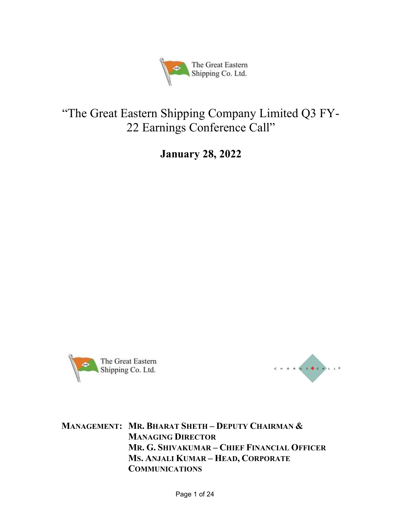

# "The Great Eastern Shipping Company Limited Q3 FY-22 Earnings Conference Call"

January 28, 2022





MANAGEMENT: MR. BHARAT SHETH – DEPUTY CHAIRMAN & MANAGING DIRECTOR MR. G. SHIVAKUMAR – CHIEF FINANCIAL OFFICER MS. ANJALI KUMAR – HEAD, CORPORATE COMMUNICATIONS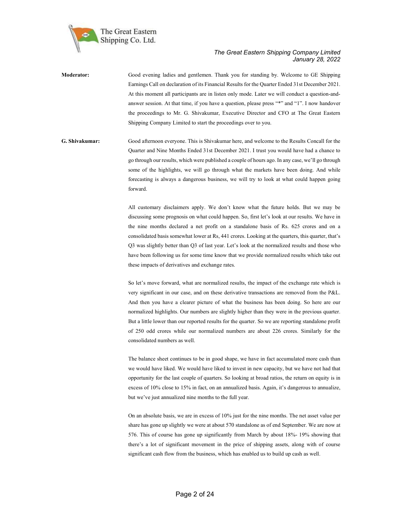

Moderator: Good evening ladies and gentlemen. Thank you for standing by. Welcome to GE Shipping Earnings Call on declaration of its Financial Results for the Quarter Ended 31st December 2021. At this moment all participants are in listen only mode. Later we will conduct a question-andanswer session. At that time, if you have a question, please press "\*" and "1". I now handover the proceedings to Mr. G. Shivakumar, Executive Director and CFO at The Great Eastern Shipping Company Limited to start the proceedings over to you.

G. Shivakumar: Good afternoon everyone. This is Shivakumar here, and welcome to the Results Concall for the Quarter and Nine Months Ended 31st December 2021. I trust you would have had a chance to go through our results, which were published a couple of hours ago. In any case, we'll go through some of the highlights, we will go through what the markets have been doing. And while forecasting is always a dangerous business, we will try to look at what could happen going forward.

> All customary disclaimers apply. We don't know what the future holds. But we may be discussing some prognosis on what could happen. So, first let's look at our results. We have in the nine months declared a net profit on a standalone basis of Rs. 625 crores and on a consolidated basis somewhat lower at Rs, 441 crores. Looking at the quarters, this quarter, that's Q3 was slightly better than Q3 of last year. Let's look at the normalized results and those who have been following us for some time know that we provide normalized results which take out these impacts of derivatives and exchange rates.

> So let's move forward, what are normalized results, the impact of the exchange rate which is very significant in our case, and on these derivative transactions are removed from the P&L. And then you have a clearer picture of what the business has been doing. So here are our normalized highlights. Our numbers are slightly higher than they were in the previous quarter. But a little lower than our reported results for the quarter. So we are reporting standalone profit of 250 odd crores while our normalized numbers are about 226 crores. Similarly for the consolidated numbers as well.

> The balance sheet continues to be in good shape, we have in fact accumulated more cash than we would have liked. We would have liked to invest in new capacity, but we have not had that opportunity for the last couple of quarters. So looking at broad ratios, the return on equity is in excess of 10% close to 15% in fact, on an annualized basis. Again, it's dangerous to annualize, but we've just annualized nine months to the full year.

> On an absolute basis, we are in excess of 10% just for the nine months. The net asset value per share has gone up slightly we were at about 570 standalone as of end September. We are now at 576. This of course has gone up significantly from March by about 18%- 19% showing that there's a lot of significant movement in the price of shipping assets, along with of course significant cash flow from the business, which has enabled us to build up cash as well.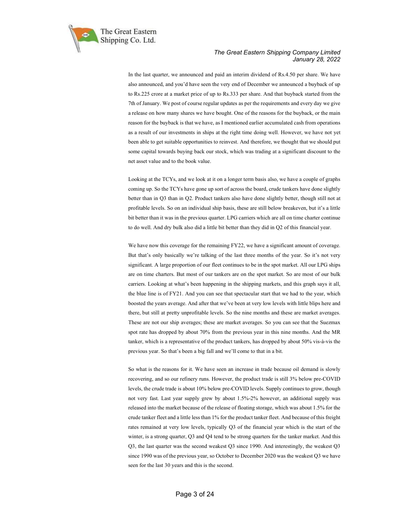

In the last quarter, we announced and paid an interim dividend of Rs.4.50 per share. We have also announced, and you'd have seen the very end of December we announced a buyback of up to Rs.225 crore at a market price of up to Rs.333 per share. And that buyback started from the 7th of January. We post of course regular updates as per the requirements and every day we give a release on how many shares we have bought. One of the reasons for the buyback, or the main reason for the buyback is that we have, as I mentioned earlier accumulated cash from operations as a result of our investments in ships at the right time doing well. However, we have not yet been able to get suitable opportunities to reinvest. And therefore, we thought that we should put some capital towards buying back our stock, which was trading at a significant discount to the net asset value and to the book value.

Looking at the TCYs, and we look at it on a longer term basis also, we have a couple of graphs coming up. So the TCYs have gone up sort of across the board, crude tankers have done slightly better than in Q3 than in Q2. Product tankers also have done slightly better, though still not at profitable levels. So on an individual ship basis, these are still below breakeven, but it's a little bit better than it was in the previous quarter. LPG carriers which are all on time charter continue to do well. And dry bulk also did a little bit better than they did in Q2 of this financial year.

We have now this coverage for the remaining FY22, we have a significant amount of coverage. But that's only basically we're talking of the last three months of the year. So it's not very significant. A large proportion of our fleet continues to be in the spot market. All our LPG ships are on time charters. But most of our tankers are on the spot market. So are most of our bulk carriers. Looking at what's been happening in the shipping markets, and this graph says it all, the blue line is of FY21. And you can see that spectacular start that we had to the year, which boosted the years average. And after that we've been at very low levels with little blips here and there, but still at pretty unprofitable levels. So the nine months and these are market averages. These are not our ship averages; these are market averages. So you can see that the Suezmax spot rate has dropped by about 70% from the previous year in this nine months. And the MR tanker, which is a representative of the product tankers, has dropped by about 50% vis-à-vis the previous year. So that's been a big fall and we'll come to that in a bit.

So what is the reasons for it. We have seen an increase in trade because oil demand is slowly recovering, and so our refinery runs. However, the product trade is still 3% below pre-COVID levels, the crude trade is about 10% below pre-COVID levels. Supply continues to grow, though not very fast. Last year supply grew by about 1.5%-2% however, an additional supply was released into the market because of the release of floating storage, which was about 1.5% for the crude tanker fleet and a little less than 1% for the product tanker fleet. And because of this freight rates remained at very low levels, typically Q3 of the financial year which is the start of the winter, is a strong quarter, Q3 and Q4 tend to be strong quarters for the tanker market. And this Q3, the last quarter was the second weakest Q3 since 1990. And interestingly, the weakest Q3 since 1990 was of the previous year, so October to December 2020 was the weakest Q3 we have seen for the last 30 years and this is the second.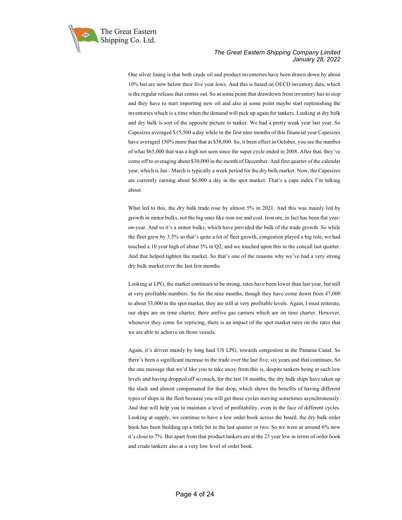

One silver lining is that both crude oil and product inventories have been drawn down by about 10% but are now below their five year lows. And this is based on OECD inventory data, which is the regular release that comes out. So at some point that drawdown from inventory has to stop and they have to start importing new oil and also at some point maybe start replenishing the inventories which is a time when the demand will pick up again for tankers. Looking at dry bulk and dry bulk is sort of the opposite picture to tanker. We had a pretty weak year last year. So Capesizes averaged \$15,500 a day while in the first nine months of this financial year Capesizes have averaged 150% more than that at \$38,000. So, it been effect in October, you see the number of what \$65,000 that was a high not seen since the super cycle ended in 2008. After that, they've come off to averaging about \$30,000 in the month of December. And first quarter of the calendar year, which is Jan - March is typically a week period for the dry bulk market. Now, the Capesizes are currently earning about \$6,000 a day in the spot market. That's a cape index I'm talking about.

What led to this, the dry bulk trade rose by almost 5% in 2021. And this was mainly led by growth in minor bulks, not the big ones like iron ore and coal. Iron ore, in fact has been flat yearon-year. And so it's a minor bulks, which have provided the bulk of the trade growth. So while the fleet grew by 3.5% so that's quite a lot of fleet growth, congestion played a big role, we had touched a 10 year high of about 5% in Q2, and we touched upon this in the concall last quarter. And that helped tighten the market. So that's one of the reasons why we've had a very strong dry bulk market over the last few months.

Looking at LPG, the market continues to be strong, rates have been lower than last year, but still at very profitable numbers. So for the nine months, though they have come down from 47,000 to about 33,000 in the spot market, they are still at very profitable levels. Again, I must reiterate, our ships are on time charter, there arefive gas carriers which are on time charter. However, whenever they come for repricing, there is an impact of the spot market rates on the rates that we are able to achieve on those vessels.

Again, it's driven mainly by long haul US LPG, towards congestion at the Panama Canal. So there's been a significant increase in the trade over the last five, six years and that continues. So the one message that we'd like you to take away from this is, despite tankers being at such low levels and having dropped off so much, for the last 18 months, the dry bulk ships have taken up the slack and almost compensated for that drop, which shows the benefits of having different types of ships in the fleet because you will get these cycles moving sometimes asynchronously. And that will help you to maintain a level of profitability, even in the face of different cycles. Looking at supply, we continue to have a low order book across the board, the dry bulk order book has been building up a little bit in the last quarter or two. So we were at around 6% now it's close to 7%. But apart from that product tankers are at the 25 year low in terms of order book and crude tankers also at a very low level of order book.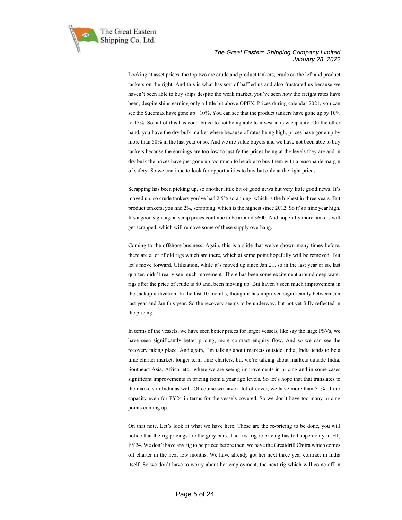

Looking at asset prices, the top two are crude and product tankers, crude on the left and product tankers on the right. And this is what has sort of baffled us and also frustrated us because we haven't been able to buy ships despite the weak market, you've seen how the freight rates have been, despite ships earning only a little bit above OPEX. Prices during calendar 2021, you can see the Suezmax have gone up  $+10\%$ . You can see that the product tankers have gone up by 10% to 15%. So, all of this has contributed to not being able to invest in new capacity. On the other hand, you have the dry bulk market where because of rates being high, prices have gone up by more than 50% in the last year or so. And we are value buyers and we have not been able to buy tankers because the earnings are too low to justify the prices being at the levels they are and in dry bulk the prices have just gone up too much to be able to buy them with a reasonable margin of safety. So we continue to look for opportunities to buy but only at the right prices.

Scrapping has been picking up, so another little bit of good news but very little good news. It's moved up, so crude tankers you've had 2.5% scrapping, which is the highest in three years. But product tankers, you had 2%, scrapping, which is the highest since 2012. So it's a nine year high. It's a good sign, again scrap prices continue to be around \$600. And hopefully more tankers will get scrapped, which will remove some of these supply overhang.

Coming to the offshore business. Again, this is a slide that we've shown many times before, there are a lot of old rigs which are there, which at some point hopefully will be removed. But let's move forward. Utilization, while it's moved up since Jan 21, so in the last year or so, last quarter, didn't really see much movement. There has been some excitement around deep water rigs after the price of crude is 80 and, been moving up. But haven't seen much improvement in the Jackup utilization. In the last 10 months, though it has improved significantly between Jan last year and Jan this year. So the recovery seems to be underway, but not yet fully reflected in the pricing.

In terms of the vessels, we have seen better prices for larger vessels, like say the large PSVs, we have seen significantly better pricing, more contract enquiry flow. And so we can see the recovery taking place. And again, I'm talking about markets outside India, India tends to be a time charter market, longer term time charters, but we're talking about markets outside India. Southeast Asia, Africa, etc., where we are seeing improvements in pricing and in some cases significant improvements in pricing from a year ago levels. So let's hope that that translates to the markets in India as well. Of course we have a lot of cover, we have more than 50% of our capacity even for FY24 in terms for the vessels covered. So we don't have too many pricing points coming up.

On that note. Let's look at what we have here. These are the re-pricing to be done, you will notice that the rig pricings are the gray bars. The first rig re-pricing has to happen only in H1, FY24. We don't have any rig to be priced before then, we have the Greatdrill Chitra which comes off charter in the next few months. We have already got her next three year contract in India itself. So we don't have to worry about her employment, the next rig which will come off in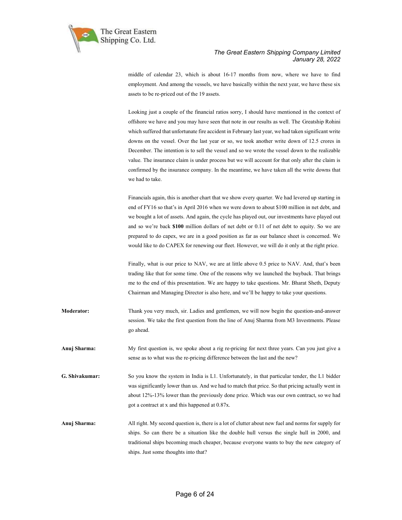

middle of calendar 23, which is about 16-17 months from now, where we have to find employment. And among the vessels, we have basically within the next year, we have these six assets to be re-priced out of the 19 assets.

Looking just a couple of the financial ratios sorry, I should have mentioned in the context of offshore we have and you may have seen that note in our results as well. The Greatship Rohini which suffered that unfortunate fire accident in February last year, we had taken significant write downs on the vessel. Over the last year or so, we took another write down of 12.5 crores in December. The intention is to sell the vessel and so we wrote the vessel down to the realizable value. The insurance claim is under process but we will account for that only after the claim is confirmed by the insurance company. In the meantime, we have taken all the write downs that we had to take.

Financials again, this is another chart that we show every quarter. We had levered up starting in end of FY16 so that's in April 2016 when we were down to about \$100 million in net debt, and we bought a lot of assets. And again, the cycle has played out, our investments have played out and so we're back \$100 million dollars of net debt or 0.11 of net debt to equity. So we are prepared to do capex, we are in a good position as far as our balance sheet is concerned. We would like to do CAPEX for renewing our fleet. However, we will do it only at the right price.

Finally, what is our price to NAV, we are at little above 0.5 price to NAV. And, that's been trading like that for some time. One of the reasons why we launched the buyback. That brings me to the end of this presentation. We are happy to take questions. Mr. Bharat Sheth, Deputy Chairman and Managing Director is also here, and we'll be happy to take your questions.

- Moderator: Thank you very much, sir. Ladies and gentlemen, we will now begin the question-and-answer session. We take the first question from the line of Anuj Sharma from M3 Investments. Please go ahead.
- Anuj Sharma: My first question is, we spoke about a rig re-pricing for next three years. Can you just give a sense as to what was the re-pricing difference between the last and the new?
- G. Shivakumar: So you know the system in India is L1. Unfortunately, in that particular tender, the L1 bidder was significantly lower than us. And we had to match that price. So that pricing actually went in about 12%-13% lower than the previously done price. Which was our own contract, so we had got a contract at x and this happened at 0.87x.
- Anuj Sharma: All right. My second question is, there is a lot of clutter about new fuel and norms for supply for ships. So can there be a situation like the double hull versus the single hull in 2000, and traditional ships becoming much cheaper, because everyone wants to buy the new category of ships. Just some thoughts into that?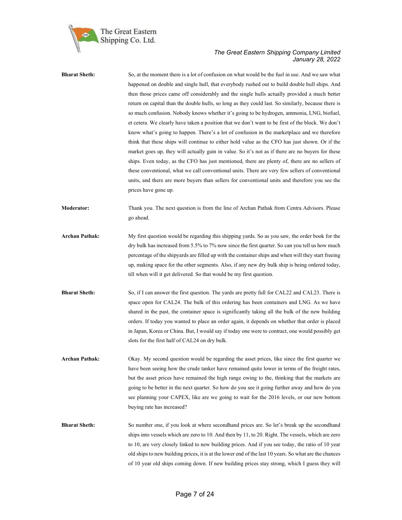

| <b>Bharat Sheth:</b>  | So, at the moment there is a lot of confusion on what would be the fuel in use. And we saw what<br>happened on double and single hull, that everybody rushed out to build double hull ships. And<br>then those prices came off considerably and the single hulls actually provided a much better<br>return on capital than the double hulls, so long as they could last. So similarly, because there is<br>so much confusion. Nobody knows whether it's going to be hydrogen, ammonia, LNG, biofuel,<br>et cetera. We clearly have taken a position that we don't want to be first of the block. We don't<br>know what's going to happen. There's a lot of confusion in the marketplace and we therefore<br>think that these ships will continue to either hold value as the CFO has just shown. Or if the<br>market goes up, they will actually gain in value. So it's not as if there are no buyers for these<br>ships. Even today, as the CFO has just mentioned, there are plenty of, there are no sellers of<br>these conventional, what we call conventional units. There are very few sellers of conventional<br>units, and there are more buyers than sellers for conventional units and therefore you see the<br>prices have gone up. |
|-----------------------|------------------------------------------------------------------------------------------------------------------------------------------------------------------------------------------------------------------------------------------------------------------------------------------------------------------------------------------------------------------------------------------------------------------------------------------------------------------------------------------------------------------------------------------------------------------------------------------------------------------------------------------------------------------------------------------------------------------------------------------------------------------------------------------------------------------------------------------------------------------------------------------------------------------------------------------------------------------------------------------------------------------------------------------------------------------------------------------------------------------------------------------------------------------------------------------------------------------------------------------------|
| <b>Moderator:</b>     | Thank you. The next question is from the line of Archan Pathak from Centra Advisors. Please<br>go ahead.                                                                                                                                                                                                                                                                                                                                                                                                                                                                                                                                                                                                                                                                                                                                                                                                                                                                                                                                                                                                                                                                                                                                       |
| <b>Archan Pathak:</b> | My first question would be regarding this shipping yards. So as you saw, the order book for the<br>dry bulk has increased from 5.5% to 7% now since the first quarter. So can you tell us how much<br>percentage of the shipyards are filled up with the container ships and when will they start freeing<br>up, making space for the other segments. Also, if any new dry bulk ship is being ordered today,<br>till when will it get delivered. So that would be my first question.                                                                                                                                                                                                                                                                                                                                                                                                                                                                                                                                                                                                                                                                                                                                                           |
| <b>Bharat Sheth:</b>  | So, if I can answer the first question. The yards are pretty full for CAL22 and CAL23. There is<br>space open for CAL24. The bulk of this ordering has been containers and LNG. As we have<br>shared in the past, the container space is significantly taking all the bulk of the new building<br>orders. If today you wanted to place an order again, it depends on whether that order is placed<br>in Japan, Korea or China. But, I would say if today one were to contract, one would possibly get<br>slots for the first half of CAL24 on dry bulk.                                                                                                                                                                                                                                                                                                                                                                                                                                                                                                                                                                                                                                                                                        |
| <b>Archan Pathak:</b> | Okay. My second question would be regarding the asset prices, like since the first quarter we<br>have been seeing how the crude tanker have remained quite lower in terms of the freight rates,<br>but the asset prices have remained the high range owing to the, thinking that the markets are<br>going to be better in the next quarter. So how do you see it going further away and how do you<br>see planning your CAPEX, like are we going to wait for the 2016 levels, or our new bottom<br>buying rate has increased?                                                                                                                                                                                                                                                                                                                                                                                                                                                                                                                                                                                                                                                                                                                  |
| <b>Bharat Sheth:</b>  | So number one, if you look at where secondhand prices are. So let's break up the secondhand<br>ships into vessels which are zero to 10. And then by 11, to 20. Right. The vessels, which are zero<br>to 10, are very closely linked to new building prices. And if you see today, the ratio of 10 year<br>old ships to new building prices, it is at the lower end of the last 10 years. So what are the chances<br>of 10 year old ships coming down. If new building prices stay strong, which I guess they will                                                                                                                                                                                                                                                                                                                                                                                                                                                                                                                                                                                                                                                                                                                              |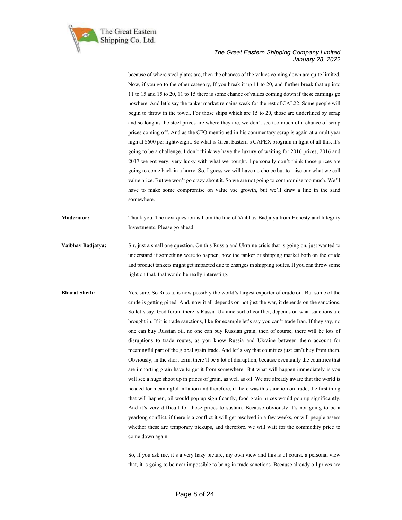

because of where steel plates are, then the chances of the values coming down are quite limited. Now, if you go to the other category, If you break it up 11 to 20, and further break that up into 11 to 15 and 15 to 20, 11 to 15 there is some chance of values coming down if these earnings go nowhere. And let's say the tanker market remains weak for the rest of CAL22. Some people will begin to throw in the towel. For those ships which are 15 to 20, those are underlined by scrap and so long as the steel prices are where they are, we don't see too much of a chance of scrap prices coming off. And as the CFO mentioned in his commentary scrap is again at a multiyear high at \$600 per lightweight. So what is Great Eastern's CAPEX program in light of all this, it's going to be a challenge. I don't think we have the luxury of waiting for 2016 prices, 2016 and 2017 we got very, very lucky with what we bought. I personally don't think those prices are going to come back in a hurry. So, I guess we will have no choice but to raise our what we call value price. But we won't go crazy about it. So we are not going to compromise too much. We'll have to make some compromise on value vse growth, but we'll draw a line in the sand somewhere.

Moderator: Thank you. The next question is from the line of Vaibhav Badjatya from Honesty and Integrity Investments. Please go ahead.

Vaibhav Badjatya: Sir, just a small one question. On this Russia and Ukraine crisis that is going on, just wanted to understand if something were to happen, how the tanker or shipping market both on the crude and product tankers might get impacted due to changes in shipping routes. If you can throw some light on that, that would be really interesting.

Bharat Sheth: Yes, sure. So Russia, is now possibly the world's largest exporter of crude oil. But some of the crude is getting piped. And, now it all depends on not just the war, it depends on the sanctions. So let's say, God forbid there is Russia-Ukraine sort of conflict, depends on what sanctions are brought in. If it is trade sanctions, like for example let's say you can't trade Iran. If they say, no one can buy Russian oil, no one can buy Russian grain, then of course, there will be lots of disruptions to trade routes, as you know Russia and Ukraine between them account for meaningful part of the global grain trade. And let's say that countries just can't buy from them. Obviously, in the short term, there'll be a lot of disruption, because eventually the countries that are importing grain have to get it from somewhere. But what will happen immediately is you will see a huge shoot up in prices of grain, as well as oil. We are already aware that the world is headed for meaningful inflation and therefore, if there was this sanction on trade, the first thing that will happen, oil would pop up significantly, food grain prices would pop up significantly. And it's very difficult for those prices to sustain. Because obviously it's not going to be a yearlong conflict, if there is a conflict it will get resolved in a few weeks, or will people assess whether these are temporary pickups, and therefore, we will wait for the commodity price to come down again.

> So, if you ask me, it's a very hazy picture, my own view and this is of course a personal view that, it is going to be near impossible to bring in trade sanctions. Because already oil prices are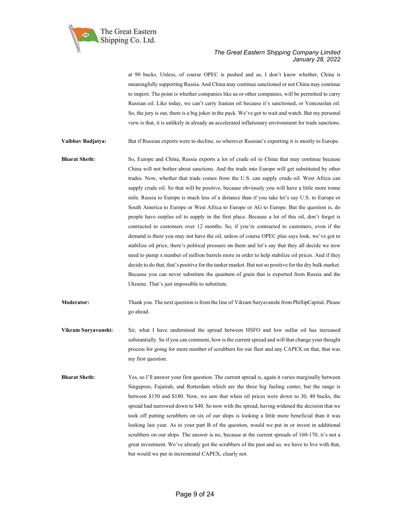

at 90 bucks. Unless, of course OPEC is pushed and as, I don't know whether, China is meaningfully supporting Russia. And China may continue sanctioned or not China may continue to import. The point is whether companies like us or other companies, will be permitted to carry Russian oil. Like today, we can't carry Iranian oil because it's sanctioned, or Venezuelan oil. So, the jury is out, there is a big joker in the pack. We've got to wait and watch. But my personal view is that, it is unlikely in already an accelerated inflationary environment for trade sanctions.

Vaibhav Badjatya: But if Russian exports were to decline, so wherever Russian's exporting it is mostly to Europe.

Bharat Sheth: So, Europe and China, Russia exports a lot of crude oil to China that may continue because China will not bother about sanctions. And the trade into Europe will get substituted by other trades. Now, whether that trade comes from the U.S. can supply crude oil. West Africa can supply crude oil. So that will be positive, because obviously you will have a little more tonne mile. Russia to Europe is much less of a distance than if you take let's say U.S. to Europe or South America to Europe or West Africa to Europe or AG to Europe. But the question is, do people have surplus oil to supply in the first place. Because a lot of this oil, don't forget is contracted to customers over 12 months. So, if you're contracted to customers, even if the demand is there you may not have the oil, unless of course OPEC plus says look, we've got to stabilize oil price, there's political pressure on them and let's say that they all decide we now need to pump x number of million barrels more in order to help stabilize oil prices. And if they decide to do that, that's positive for the tanker market. But not so positive for the dry bulk market. Because you can never substitute the quantum of grain that is exported from Russia and the Ukraine. That's just impossible to substitute.

Moderator: Thank you. The next question is from the line of Vikram Suryavanshi from PhillipCapital. Please go ahead.

- Vikram Suryavanshi: Sir, what I have understood the spread between HSFO and low sulfur oil has increased substantially. So if you can comment, how is the current spread and will that change your thought process for going for more number of scrubbers for our fleet and any CAPEX on that, that was my first question.
- **Bharat Sheth:** Yes, so I'll answer your first question. The current spread is, again it varies marginally between Singapore, Fujairah, and Rotterdam which are the three big fueling center, but the range is between \$150 and \$180. Now, we saw that when oil prices were down to 30, 40 bucks, the spread had narrowed down to \$40. So now with the spread, having widened the decision that we took off putting scrubbers on six of our ships is looking a little more beneficial than it was looking last year. As to your part B of the question, would we put in or invest in additional scrubbers on our ships. The answer is no, because at the current spreads of 160-170, it's not a great investment. We've already got the scrubbers of the past and so, we have to live with that, but would we put in incremental CAPEX, clearly not.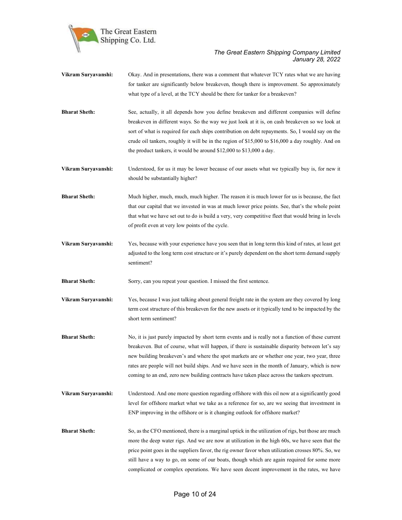

- Vikram Suryavanshi: Okay. And in presentations, there was a comment that whatever TCY rates what we are having for tanker are significantly below breakeven, though there is improvement. So approximately what type of a level, at the TCY should be there for tanker for a breakeven? Bharat Sheth: See, actually, it all depends how you define breakeven and different companies will define breakeven in different ways. So the way we just look at it is, on cash breakeven so we look at sort of what is required for each ships contribution on debt repayments. So, I would say on the
- Vikram Suryavanshi: Understood, for us it may be lower because of our assets what we typically buy is, for new it should be substantially higher?

the product tankers, it would be around \$12,000 to \$13,000 a day.

crude oil tankers, roughly it will be in the region of \$15,000 to \$16,000 a day roughly. And on

- Bharat Sheth: Much higher, much, much, much higher. The reason it is much lower for us is because, the fact that our capital that we invested in was at much lower price points. See, that's the whole point that what we have set out to do is build a very, very competitive fleet that would bring in levels of profit even at very low points of the cycle.
- Vikram Suryavanshi: Yes, because with your experience have you seen that in long term this kind of rates, at least get adjusted to the long term cost structure or it's purely dependent on the short term demand supply sentiment?

Bharat Sheth: Sorry, can you repeat your question. I missed the first sentence.

- Vikram Suryavanshi: Yes, because I was just talking about general freight rate in the system are they covered by long term cost structure of this breakeven for the new assets or it typically tend to be impacted by the short term sentiment?
- Bharat Sheth: No, it is just purely impacted by short term events and is really not a function of these current breakeven. But of course, what will happen, if there is sustainable disparity between let's say new building breakeven's and where the spot markets are or whether one year, two year, three rates are people will not build ships. And we have seen in the month of January, which is now coming to an end, zero new building contracts have taken place across the tankers spectrum.
- Vikram Suryavanshi: Understood. And one more question regarding offshore with this oil now at a significantly good level for offshore market what we take as a reference for so, are we seeing that investment in ENP improving in the offshore or is it changing outlook for offshore market?
- Bharat Sheth: So, as the CFO mentioned, there is a marginal uptick in the utilization of rigs, but those are much more the deep water rigs. And we are now at utilization in the high 60s, we have seen that the price point goes in the suppliers favor, the rig owner favor when utilization crosses 80%. So, we still have a way to go, on some of our boats, though which are again required for some more complicated or complex operations. We have seen decent improvement in the rates, we have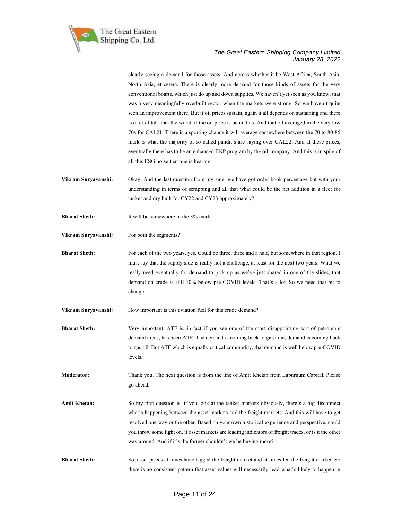

clearly seeing a demand for those assets. And across whether it be West Africa, South Asia, North Asia, et cetera. There is clearly more demand for those kinds of assets for the very conventional boarts, which just do up and down supplies. We haven't yet seen as you know, that was a very meaningfully overbuilt sector when the markets were strong. So we haven't quite seen an improvement there. But if oil prices sustain, again it all depends on sustaining and there is a lot of talk that the worst of the oil price is behind us. And that oil averaged in the very low 70s for CAL21. There is a sporting chance it will average somewhere between the 70 to 80-85 mark is what the majority of so called pandit's are saying over CAL22. And at these prices, eventually there has to be an enhanced ENP program by the oil company. And this is in spite of all this ESG noise that one is hearing.

- Vikram Suryavanshi: Okay. And the last question from my side, we have got order book percentage but with your understanding in terms of scrapping and all that what could be the net addition in a fleet for tanker and dry bulk for CY22 and CY23 approximately?
- **Bharat Sheth:** It will be somewhere in the 3% mark.
- Vikram Suryavanshi: For both the segments?

Bharat Sheth: For each of the two years, yes. Could be three, three and a half, but somewhere in that region. I must say that the supply side is really not a challenge, at least for the next two years. What we really need eventually for demand to pick up as we've just shared in one of the slides, that demand on crude is still 10% below pre COVID levels. That's a lot. So we need that bit to change.

Vikram Suryavanshi: How important is this aviation fuel for this crude demand?

Bharat Sheth: Very important, ATF is, in fact if you see one of the most disappointing sort of petroleum demand areas, has been ATF. The demand is coming back to gasoline, demand is coming back to gas oil. But ATF which is equally critical commodity, that demand is well below pre-COVID levels.

Moderator: Thank you. The next question is from the line of Amit Khetan from Laburnum Capital. Please go ahead.

- Amit Khetan: So my first question is, if you look at the tanker markets obviously, there's a big disconnect what's happening between the asset markets and the freight markets. And this will have to get resolved one way or the other. Based on your own historical experience and perspective, could you throw some light on, if asset markets are leading indicators of freight trades, or is it the other way around. And if it's the former shouldn't we be buying more?
- Bharat Sheth: So, asset prices at times have lagged the freight market and at times led the freight market. So there is no consistent pattern that asset values will necessarily lead what's likely to happen in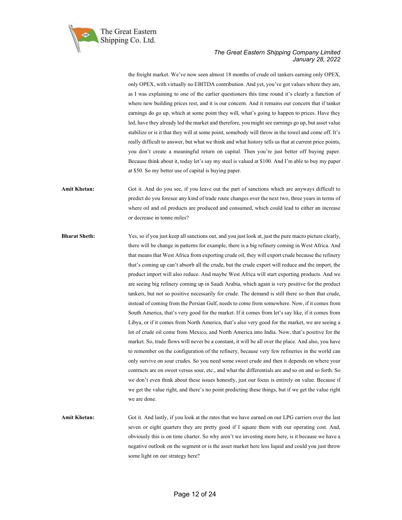

the freight market. We've now seen almost 18 months of crude oil tankers earning only OPEX, only OPEX, with virtually no EBITDA contribution. And yet, you've got values where they are, as I was explaining to one of the earlier questioners this time round it's clearly a function of where new building prices rest, and it is our concern. And it remains our concern that if tanker earnings do go up, which at some point they will, what's going to happen to prices. Have they led, have they already led the market and therefore, you might see earnings go up, but asset value stabilize or is it that they will at some point, somebody will throw in the towel and come off. It's really difficult to answer, but what we think and what history tells us that at current price points, you don't create a meaningful return on capital. Then you're just better off buying paper. Because think about it, today let's say my steel is valued at \$100. And I'm able to buy my paper at \$50. So my better use of capital is buying paper.

Amit Khetan: Got it. And do you see, if you leave out the part of sanctions which are anyways difficult to predict do you foresee any kind of trade route changes over the next two, three years in terms of where oil and oil products are produced and consumed, which could lead to either an increase or decrease in tonne miles?

Bharat Sheth: Yes, so if you just keep all sanctions out, and you just look at, just the pure macro picture clearly, there will be change in patterns for example, there is a big refinery coming in West Africa. And that means that West Africa from exporting crude oil, they will export crude because the refinery that's coming up can't absorb all the crude, but the crude export will reduce and the import, the product import will also reduce. And maybe West Africa will start exporting products. And we are seeing big refinery coming up in Saudi Arabia, which again is very positive for the product tankers, but not so positive necessarily for crude. The demand is still there so then that crude, instead of coming from the Persian Gulf, needs to come from somewhere. Now, if it comes from South America, that's very good for the market. If it comes from let's say like, if it comes from Libya, or if it comes from North America, that's also very good for the market, we are seeing a lot of crude oil come from Mexico, and North America into India. Now, that's positive for the market. So, trade flows will never be a constant, it will be all over the place. And also, you have to remember on the configuration of the refinery, because very few refineries in the world can only survive on sour crudes. So you need some sweet crude and then it depends on where your contracts are on sweet versus sour, etc., and what the differentials are and so on and so forth. So we don't even think about these issues honestly, just our focus is entirely on value. Because if we get the value right, and there's no point predicting these things, but if we get the value right we are done.

Amit Khetan: Got it. And lastly, if you look at the rates that we have earned on our LPG carriers over the last seven or eight quarters they are pretty good if I square them with our operating cost. And, obviously this is on time charter. So why aren't we investing more here, is it because we have a negative outlook on the segment or is the asset market here less liquid and could you just throw some light on our strategy here?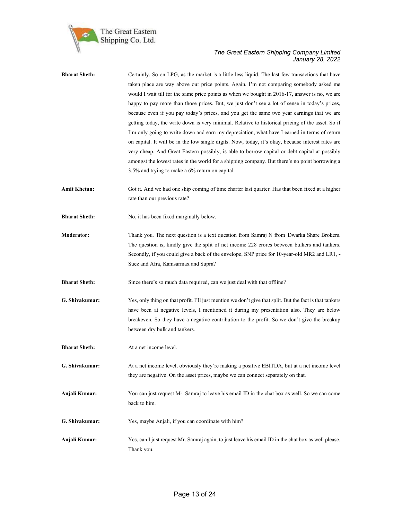

| <b>Bharat Sheth:</b> | Certainly. So on LPG, as the market is a little less liquid. The last few transactions that have         |
|----------------------|----------------------------------------------------------------------------------------------------------|
|                      | taken place are way above our price points. Again, I'm not comparing somebody asked me                   |
|                      | would I wait till for the same price points as when we bought in 2016-17, answer is no, we are           |
|                      | happy to pay more than those prices. But, we just don't see a lot of sense in today's prices,            |
|                      | because even if you pay today's prices, and you get the same two year earnings that we are               |
|                      | getting today, the write down is very minimal. Relative to historical pricing of the asset. So if        |
|                      | I'm only going to write down and earn my depreciation, what have I earned in terms of return             |
|                      | on capital. It will be in the low single digits. Now, today, it's okay, because interest rates are       |
|                      | very cheap. And Great Eastern possibly, is able to borrow capital or debt capital at possibly            |
|                      | amongst the lowest rates in the world for a shipping company. But there's no point borrowing a           |
|                      | 3.5% and trying to make a 6% return on capital.                                                          |
| <b>Amit Khetan:</b>  | Got it. And we had one ship coming of time charter last quarter. Has that been fixed at a higher         |
|                      | rate than our previous rate?                                                                             |
| <b>Bharat Sheth:</b> | No, it has been fixed marginally below.                                                                  |
| <b>Moderator:</b>    | Thank you. The next question is a text question from Samraj N from Dwarka Share Brokers.                 |
|                      | The question is, kindly give the split of net income 228 crores between bulkers and tankers.             |
|                      | Secondly, if you could give a back of the envelope, SNP price for 10-year-old MR2 and LR1, -             |
|                      | Suez and Afra, Kamsarmax and Supra?                                                                      |
|                      |                                                                                                          |
| <b>Bharat Sheth:</b> | Since there's so much data required, can we just deal with that offline?                                 |
| G. Shivakumar:       | Yes, only thing on that profit. I'll just mention we don't give that split. But the fact is that tankers |
|                      | have been at negative levels, I mentioned it during my presentation also. They are below                 |
|                      | breakeven. So they have a negative contribution to the profit. So we don't give the breakup              |
|                      | between dry bulk and tankers.                                                                            |
| <b>Bharat Sheth:</b> | At a net income level.                                                                                   |
| G. Shivakumar:       | At a net income level, obviously they're making a positive EBITDA, but at a net income level             |
|                      | they are negative. On the asset prices, maybe we can connect separately on that.                         |
| Anjali Kumar:        | You can just request Mr. Samraj to leave his email ID in the chat box as well. So we can come            |
|                      | back to him.                                                                                             |
| G. Shivakumar:       | Yes, maybe Anjali, if you can coordinate with him?                                                       |
| Anjali Kumar:        | Yes, can I just request Mr. Samraj again, to just leave his email ID in the chat box as well please.     |
|                      | Thank you.                                                                                               |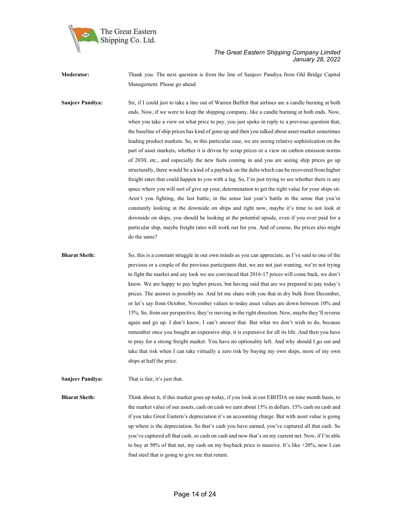

Moderator: Thank you. The next question is from the line of Sanjeev Pandiya from Old Bridge Capital Management. Please go ahead.

Sanjeev Pandiya: Sir, if I could just to take a line out of Warren Buffett that airlines are a candle burning at both ends. Now, if we were to keep the shipping company, like a candle burning at both ends. Now, when you take a view on what price to pay, you just spoke in reply to a previous question that, the baseline of ship prices has kind of gone up and then you talked about asset market sometimes leading product markets. So, in this particular case, we are seeing relative sophistication on the part of asset markets, whether it is driven by scrap prices or a view on carbon emission norms of 2030, etc., and especially the new fuels coming in and you are seeing ship prices go up structurally, there would be a kind of a payback on the delta which can be recovered from higher freight rates that could happen to you with a lag. So, I'm just trying to see whether there is any space where you will sort of give up your, determination to get the right value for your ships sir. Aren't you fighting, the last battle, in the sense last year's battle in the sense that you're constantly looking at the downside on ships and right now, maybe it's time to not look at downside on ships, you should be looking at the potential upside, even if you over paid for a particular ship, maybe freight rates will work out for you. And of course, the prices also might do the same?

Bharat Sheth: So, this is a constant struggle in our own minds as you can appreciate, as I've said to one of the previous or a couple of the previous participants that, we are not just wanting, we're not trying to fight the market and say look we are convinced that 2016-17 prices will come back, we don't know. We are happy to pay higher prices, but having said that are we prepared to pay today's prices. The answer is possibly no. And let me share with you that in dry bulk from December, or let's say from October, November values to today asset values are down between 10% and 15%. So, from our perspective, they're moving in the right direction. Now, maybe they'll reverse again and go up. I don't know, I can't answer that. But what we don't wish to do, because remember once you bought an expensive ship, it is expensive for all its life. And then you have to pray for a strong freight market. You have no optionality left. And why should I go out and take that risk when I can take virtually a zero risk by buying my own ships, more of my own ships at half the price.

Sanjeev Pandiya: That is fair, it's just that.

Bharat Sheth: Think about it, if this market goes up today, if you look at our EBITDA on nine month basis, to the market value of our assets, cash on cash we earn about 15% in dollars. 15% cash on cash and if you take Great Eastern's depreciation it's an accounting charge. But with asset value is going up where is the depreciation. So that's cash you have earned, you've captured all that cash. So you've captured all that cash, so cash on cash and now that's on my current net. Now, if I'm able to buy at 50% of that net, my cash on my buyback price is massive. It's like  $+20\%$ , now I can find steel that is going to give me that return.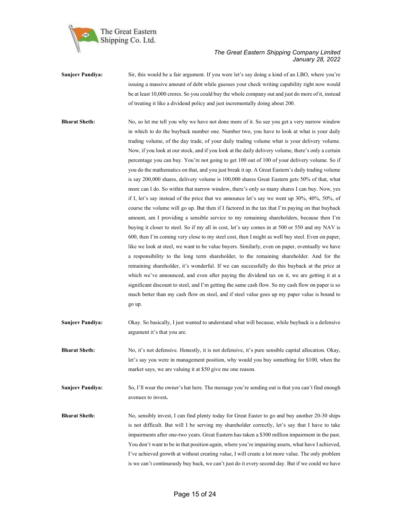

| <b>Sanjeev Pandiva:</b> | Sir, this would be a fair argument. If you were let's say doing a kind of an LBO, where you're    |
|-------------------------|---------------------------------------------------------------------------------------------------|
|                         | issuing a massive amount of debt while guesses your check writing capability right now would      |
|                         | be at least 10,000 crores. So you could buy the whole company out and just do more of it, instead |
|                         | of treating it like a dividend policy and just incrementally doing about 200.                     |

**Bharat Sheth:** No, so let me tell you why we have not done more of it. So see you get a very narrow window in which to do the buyback number one. Number two, you have to look at what is your daily trading volume, of the day trade, of your daily trading volume what is your delivery volume. Now, if you look at our stock, and if you look at the daily delivery volume, there's only a certain percentage you can buy. You're not going to get 100 out of 100 of your delivery volume. So if you do the mathematics on that, and you just break it up. A Great Eastern's daily trading volume is say 200,000 shares, delivery volume is 100,000 shares Great Eastern gets 50% of that, what more can I do. So within that narrow window, there's only so many shares I can buy. Now, yes if I, let's say instead of the price that we announce let's say we went up 30%, 40%, 50%, of course the volume will go up. But then if I factored in the tax that I'm paying on that buyback amount, am I providing a sensible service to my remaining shareholders, because then I'm buying it closer to steel. So if my all in cost, let's say comes in at 500 or 550 and my NAV is 600, then I'm coming very close to my steel cost, then I might as well buy steel. Even on paper, like we look at steel, we want to be value buyers. Similarly, even on paper, eventually we have a responsibility to the long term shareholder, to the remaining shareholder. And for the remaining shareholder, it's wonderful. If we can successfully do this buyback at the price at which we've announced, and even after paying the dividend tax on it, we are getting it at a significant discount to steel, and I'm getting the same cash flow. So my cash flow on paper is so much better than my cash flow on steel, and if steel value goes up my paper value is bound to go up.

Sanjeev Pandiya: Okay. So basically, I just wanted to understand what will because, while buyback is a defensive argument it's that you are.

Bharat Sheth: No, it's not defensive. Honestly, it is not defensive, it's pure sensible capital allocation. Okay, let's say you were in management position, why would you buy something for \$100, when the market says, we are valuing it at \$50 give me one reason.

Sanjeev Pandiya: So, I'll wear the owner's hat here. The message you're sending out is that you can't find enough avenues to invest.

Bharat Sheth: No, sensibly invest, I can find plenty today for Great Easter to go and buy another 20-30 ships is not difficult. But will I be serving my shareholder correctly, let's say that I have to take impairments after one-two years. Great Eastern has taken a \$300 million impairment in the past. You don't want to be in that position again, where you're impairing assets, what have I achieved, I've achieved growth at without creating value, I will create a lot more value. The only problem is we can't continuously buy back, we can't just do it every second day. But if we could we have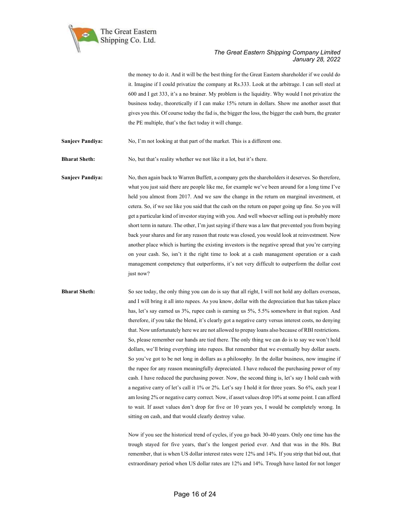

the money to do it. And it will be the best thing for the Great Eastern shareholder if we could do it. Imagine if I could privatize the company at Rs.333. Look at the arbitrage. I can sell steel at 600 and I get 333, it's a no brainer. My problem is the liquidity. Why would I not privatize the business today, theoretically if I can make 15% return in dollars. Show me another asset that gives you this. Of course today the fad is, the bigger the loss, the bigger the cash burn, the greater the PE multiple, that's the fact today it will change.

Sanjeev Pandiya: No, I'm not looking at that part of the market. This is a different one.

Bharat Sheth: No, but that's reality whether we not like it a lot, but it's there.

Sanjeev Pandiya: No, then again back to Warren Buffett, a company gets the shareholders it deserves. So therefore, what you just said there are people like me, for example we've been around for a long time I've held you almost from 2017. And we saw the change in the return on marginal investment, et cetera. So, if we see like you said that the cash on the return on paper going up fine. So you will get a particular kind of investor staying with you. And well whoever selling out is probably more short term in nature. The other, I'm just saying if there was a law that prevented you from buying back your shares and for any reason that route was closed, you would look at reinvestment. Now another place which is hurting the existing investors is the negative spread that you're carrying on your cash. So, isn't it the right time to look at a cash management operation or a cash management competency that outperforms, it's not very difficult to outperform the dollar cost just now?

Bharat Sheth: So see today, the only thing you can do is say that all right, I will not hold any dollars overseas, and I will bring it all into rupees. As you know, dollar with the depreciation that has taken place has, let's say earned us 3%, rupee cash is earning us 5%, 5.5% somewhere in that region. And therefore, if you take the blend, it's clearly got a negative carry versus interest costs, no denying that. Now unfortunately here we are not allowed to prepay loans also because of RBI restrictions. So, please remember our hands are tied there. The only thing we can do is to say we won't hold dollars, we'll bring everything into rupees. But remember that we eventually buy dollar assets. So you've got to be net long in dollars as a philosophy. In the dollar business, now imagine if the rupee for any reason meaningfully depreciated. I have reduced the purchasing power of my cash. I have reduced the purchasing power. Now, the second thing is, let's say I hold cash with a negative carry of let's call it 1% or 2%. Let's say I hold it for three years. So 6%, each year I am losing 2% or negative carry correct. Now, if asset values drop 10% at some point. I can afford to wait. If asset values don't drop for five or 10 years yes, I would be completely wrong. In sitting on cash, and that would clearly destroy value.

> Now if you see the historical trend of cycles, if you go back 30-40 years. Only one time has the trough stayed for five years, that's the longest period ever. And that was in the 80s. But remember, that is when US dollar interest rates were 12% and 14%. If you strip that bid out, that extraordinary period when US dollar rates are 12% and 14%. Trough have lasted for not longer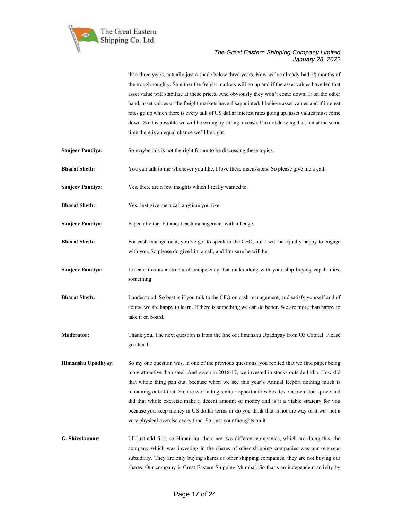

than three years, actually just a shade below three years. Now we've already had 18 months of the trough roughly. So either the freight markets will go up and if the asset values have led that asset value will stabilize at these prices. And obviously they won't come down. If on the other hand, asset values or the freight markets have disappointed, I believe asset values and if interest rates go up which there is every talk of US dollar interest rates going up, asset values must come down. So it is possible we will be wrong by sitting on cash. I'm not denying that, but at the same time there is an equal chance we'll be right.

- Sanjeev Pandiya: So maybe this is not the right forum to be discussing these topics.
- Bharat Sheth: You can talk to me whenever you like, I love these discussions. So please give me a call.
- Sanjeev Pandiya: Yes, there are a few insights which I really wanted to.
- Bharat Sheth: Yes. Just give me a call anytime you like.
- Sanjeev Pandiya: Especially that bit about cash management with a hedge.
- **Bharat Sheth:** For cash management, you've got to speak to the CFO, but I will be equally happy to engage with you. So please do give him a call, and I'm sure he will be.
- Sanjeev Pandiya: I meant this as a structural competency that ranks along with your ship buying capabilities, something.
- Bharat Sheth: I understood. So best is if you talk to the CFO on cash management, and satisfy yourself and of course we are happy to learn. If there is something we can do better. We are more than happy to take it on board.
- Moderator: Thank you. The next question is from the line of Himanshu Upadhyay from O3 Capital. Please go ahead.
- Himanshu Upadhyay: So my one question was, in one of the previous questions, you replied that we find paper being more attractive than steel. And given in 2016-17, we invested in stocks outside India. How did that whole thing pan out, because when we see this year's Annual Report nothing much is remaining out of that. So, are we finding similar opportunities besides our own stock price and did that whole exercise make a decent amount of money and is it a viable strategy for you because you keep money in US dollar terms or do you think that is not the way or it was not a very physical exercise every time. So, just your thoughts on it.
- G. Shivakumar: I'll just add first, so Himanshu, there are two different companies, which are doing this, the company which was investing in the shares of other shipping companies was our overseas subsidiary. They are only buying shares of other shipping companies; they are not buying our shares. Our company is Great Eastern Shipping Mumbai. So that's an independent activity by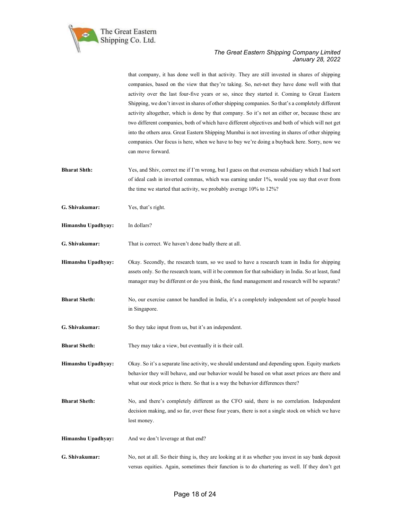

that company, it has done well in that activity. They are still invested in shares of shipping companies, based on the view that they're taking. So, net-net they have done well with that activity over the last four-five years or so, since they started it. Coming to Great Eastern Shipping, we don't invest in shares of other shipping companies. So that's a completely different activity altogether, which is done by that company. So it's not an either or, because these are two different companies, both of which have different objectives and both of which will not get into the others area. Great Eastern Shipping Mumbai is not investing in shares of other shipping companies. Our focus is here, when we have to buy we're doing a buyback here. Sorry, now we can move forward.

- Bharat Shth: Yes, and Shiv, correct me if I'm wrong, but I guess on that overseas subsidiary which I had sort of ideal cash in inverted commas, which was earning under 1%, would you say that over from the time we started that activity, we probably average 10% to 12%?
- G. Shivakumar: Yes, that's right.

Himanshu Upadhyay: In dollars?

G. Shivakumar: That is correct. We haven't done badly there at all.

Himanshu Upadhyay: Okay. Secondly, the research team, so we used to have a research team in India for shipping assets only. So the research team, will it be common for that subsidiary in India. So at least, fund manager may be different or do you think, the fund management and research will be separate?

- Bharat Sheth: No, our exercise cannot be handled in India, it's a completely independent set of people based in Singapore.
- G. Shivakumar: So they take input from us, but it's an independent.
- **Bharat Sheth:** They may take a view, but eventually it is their call.

Himanshu Upadhyay: Okay. So it's a separate line activity, we should understand and depending upon. Equity markets behavior they will behave, and our behavior would be based on what asset prices are there and what our stock price is there. So that is a way the behavior differences there?

- Bharat Sheth: No, and there's completely different as the CFO said, there is no correlation. Independent decision making, and so far, over these four years, there is not a single stock on which we have lost money.
- Himanshu Upadhyay: And we don't leverage at that end?
- G. Shivakumar: No, not at all. So their thing is, they are looking at it as whether you invest in say bank deposit versus equities. Again, sometimes their function is to do chartering as well. If they don't get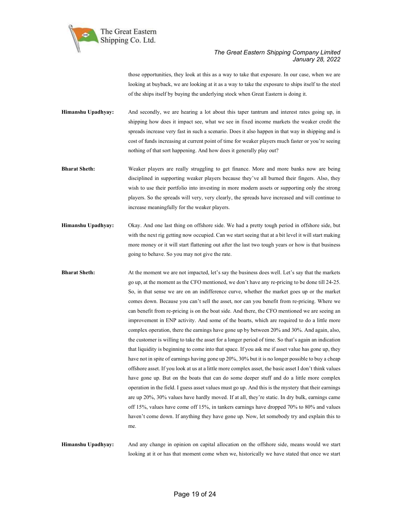

those opportunities, they look at this as a way to take that exposure. In our case, when we are looking at buyback, we are looking at it as a way to take the exposure to ships itself to the steel of the ships itself by buying the underlying stock when Great Eastern is doing it.

Himanshu Upadhyay: And secondly, we are hearing a lot about this taper tantrum and interest rates going up, in shipping how does it impact see, what we see in fixed income markets the weaker credit the spreads increase very fast in such a scenario. Does it also happen in that way in shipping and is cost of funds increasing at current point of time for weaker players much faster or you're seeing nothing of that sort happening. And how does it generally play out?

- Bharat Sheth: Weaker players are really struggling to get finance. More and more banks now are being disciplined in supporting weaker players because they've all burned their fingers. Also, they wish to use their portfolio into investing in more modern assets or supporting only the strong players. So the spreads will very, very clearly, the spreads have increased and will continue to increase meaningfully for the weaker players.
- Himanshu Upadhyay: Okay. And one last thing on offshore side. We had a pretty tough period in offshore side, but with the next rig getting now occupied. Can we start seeing that at a bit level it will start making more money or it will start flattening out after the last two tough years or how is that business going to behave. So you may not give the rate.
- **Bharat Sheth:** At the moment we are not impacted, let's say the business does well. Let's say that the markets go up, at the moment as the CFO mentioned, we don't have any re-pricing to be done till 24-25. So, in that sense we are on an indifference curve, whether the market goes up or the market comes down. Because you can't sell the asset, nor can you benefit from re-pricing. Where we can benefit from re-pricing is on the boat side. And there, the CFO mentioned we are seeing an improvement in ENP activity. And some of the boarts, which are required to do a little more complex operation, there the earnings have gone up by between 20% and 30%. And again, also, the customer is willing to take the asset for a longer period of time. So that's again an indication that liquidity is beginning to come into that space. If you ask me if asset value has gone up, they have not in spite of earnings having gone up 20%, 30% but it is no longer possible to buy a cheap offshore asset. If you look at us at a little more complex asset, the basic asset I don't think values have gone up. But on the boats that can do some deeper stuff and do a little more complex operation in the field. I guess asset values must go up. And this is the mystery that their earnings are up 20%, 30% values have hardly moved. If at all, they're static. In dry bulk, earnings came off 15%, values have come off 15%, in tankers earnings have dropped 70% to 80% and values haven't come down. If anything they have gone up. Now, let somebody try and explain this to me.

Himanshu Upadhyay: And any change in opinion on capital allocation on the offshore side, means would we start looking at it or has that moment come when we, historically we have stated that once we start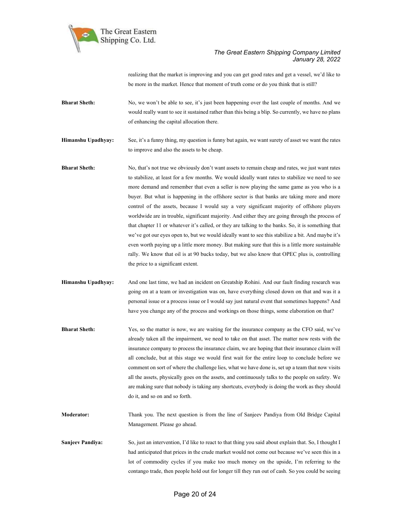

realizing that the market is improving and you can get good rates and get a vessel, we'd like to be more in the market. Hence that moment of truth come or do you think that is still?

Bharat Sheth: No, we won't be able to see, it's just been happening over the last couple of months. And we would really want to see it sustained rather than this being a blip. So currently, we have no plans of enhancing the capital allocation there.

Himanshu Upadhyay: See, it's a funny thing, my question is funny but again, we want surety of asset we want the rates to improve and also the assets to be cheap.

**Bharat Sheth:** No, that's not true we obviously don't want assets to remain cheap and rates, we just want rates to stabilize, at least for a few months. We would ideally want rates to stabilize we need to see more demand and remember that even a seller is now playing the same game as you who is a buyer. But what is happening in the offshore sector is that banks are taking more and more control of the assets, because I would say a very significant majority of offshore players worldwide are in trouble, significant majority. And either they are going through the process of that chapter 11 or whatever it's called, or they are talking to the banks. So, it is something that we've got our eyes open to, but we would ideally want to see this stabilize a bit. And maybe it's even worth paying up a little more money. But making sure that this is a little more sustainable rally. We know that oil is at 90 bucks today, but we also know that OPEC plus is, controlling the price to a significant extent.

Himanshu Upadhyay: And one last time, we had an incident on Greatship Rohini. And our fault finding research was going on at a team or investigation was on, have everything closed down on that and was it a personal issue or a process issue or I would say just natural event that sometimes happens? And have you change any of the process and workings on those things, some elaboration on that?

Bharat Sheth: Yes, so the matter is now, we are waiting for the insurance company as the CFO said, we've already taken all the impairment, we need to take on that asset. The matter now rests with the insurance company to process the insurance claim, we are hoping that their insurance claim will all conclude, but at this stage we would first wait for the entire loop to conclude before we comment on sort of where the challenge lies, what we have done is, set up a team that now visits all the assets, physically goes on the assets, and continuously talks to the people on safety. We are making sure that nobody is taking any shortcuts, everybody is doing the work as they should do it, and so on and so forth.

Moderator: Thank you. The next question is from the line of Sanjeev Pandiya from Old Bridge Capital Management. Please go ahead.

Sanjeev Pandiya: So, just an intervention, I'd like to react to that thing you said about explain that. So, I thought I had anticipated that prices in the crude market would not come out because we've seen this in a lot of commodity cycles if you make too much money on the upside, I'm referring to the contango trade, then people hold out for longer till they run out of cash. So you could be seeing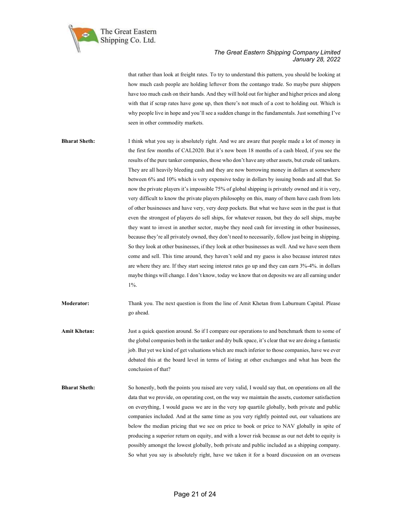

that rather than look at freight rates. To try to understand this pattern, you should be looking at how much cash people are holding leftover from the contango trade. So maybe pure shippers have too much cash on their hands. And they will hold out for higher and higher prices and along with that if scrap rates have gone up, then there's not much of a cost to holding out. Which is why people live in hope and you'll see a sudden change in the fundamentals. Just something I've seen in other commodity markets.

Bharat Sheth: I think what you say is absolutely right. And we are aware that people made a lot of money in the first few months of CAL2020. But it's now been 18 months of a cash bleed, if you see the results of the pure tanker companies, those who don't have any other assets, but crude oil tankers. They are all heavily bleeding cash and they are now borrowing money in dollars at somewhere between 6% and 10% which is very expensive today in dollars by issuing bonds and all that. So now the private players it's impossible 75% of global shipping is privately owned and it is very, very difficult to know the private players philosophy on this, many of them have cash from lots of other businesses and have very, very deep pockets. But what we have seen in the past is that even the strongest of players do sell ships, for whatever reason, but they do sell ships, maybe they want to invest in another sector, maybe they need cash for investing in other businesses, because they're all privately owned, they don't need to necessarily, follow just being in shipping. So they look at other businesses, if they look at other businesses as well. And we have seen them come and sell. This time around, they haven't sold and my guess is also because interest rates are where they are. If they start seeing interest rates go up and they can earn 3%-4%. in dollars maybe things will change. I don't know, today we know that on deposits we are all earning under  $1\%$ .

Moderator: Thank you. The next question is from the line of Amit Khetan from Laburnum Capital. Please go ahead.

Amit Khetan: Just a quick question around. So if I compare our operations to and benchmark them to some of the global companies both in the tanker and dry bulk space, it's clear that we are doing a fantastic job. But yet we kind of get valuations which are much inferior to those companies, have we ever debated this at the board level in terms of listing at other exchanges and what has been the conclusion of that?

Bharat Sheth: So honestly, both the points you raised are very valid, I would say that, on operations on all the data that we provide, on operating cost, on the way we maintain the assets, customer satisfaction on everything, I would guess we are in the very top quartile globally, both private and public companies included. And at the same time as you very rightly pointed out, our valuations are below the median pricing that we see on price to book or price to NAV globally in spite of producing a superior return on equity, and with a lower risk because as our net debt to equity is possibly amongst the lowest globally, both private and public included as a shipping company. So what you say is absolutely right, have we taken it for a board discussion on an overseas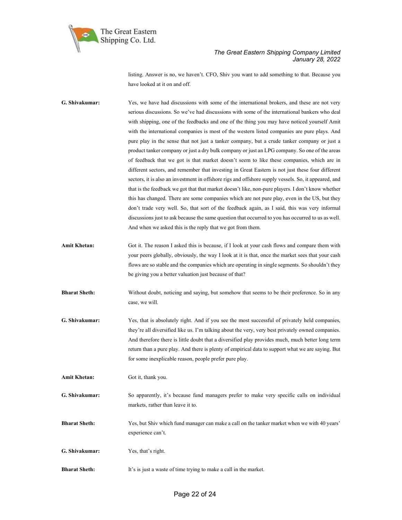

listing. Answer is no, we haven't. CFO, Shiv you want to add something to that. Because you have looked at it on and off.

- G. Shivakumar: Yes, we have had discussions with some of the international brokers, and these are not very serious discussions. So we've had discussions with some of the international bankers who deal with shipping, one of the feedbacks and one of the thing you may have noticed yourself Amit with the international companies is most of the western listed companies are pure plays. And pure play in the sense that not just a tanker company, but a crude tanker company or just a product tanker company or just a dry bulk company or just an LPG company. So one of the areas of feedback that we got is that market doesn't seem to like these companies, which are in different sectors, and remember that investing in Great Eastern is not just these four different sectors, it is also an investment in offshore rigs and offshore supply vessels. So, it appeared, and that is the feedback we got that that market doesn't like, non-pure players. I don't know whether this has changed. There are some companies which are not pure play, even in the US, but they don't trade very well. So, that sort of the feedback again, as I said, this was very informal discussions just to ask because the same question that occurred to you has occurred to us as well. And when we asked this is the reply that we got from them.
- Amit Khetan: Got it. The reason I asked this is because, if I look at your cash flows and compare them with your peers globally, obviously, the way I look at it is that, once the market sees that your cash flows are so stable and the companies which are operating in single segments. So shouldn't they be giving you a better valuation just because of that?
- Bharat Sheth: Without doubt, noticing and saying, but somehow that seems to be their preference. So in any case, we will.
- G. Shivakumar: Yes, that is absolutely right. And if you see the most successful of privately held companies, they're all diversified like us. I'm talking about the very, very best privately owned companies. And therefore there is little doubt that a diversified play provides much, much better long term return than a pure play. And there is plenty of empirical data to support what we are saying. But for some inexplicable reason, people prefer pure play.
- Amit Khetan: Got it, thank you.
- G. Shivakumar: So apparently, it's because fund managers prefer to make very specific calls on individual markets, rather than leave it to.
- Bharat Sheth: Yes, but Shiv which fund manager can make a call on the tanker market when we with 40 years' experience can't.
- G. Shivakumar: Yes, that's right.
- Bharat Sheth: It's is just a waste of time trying to make a call in the market.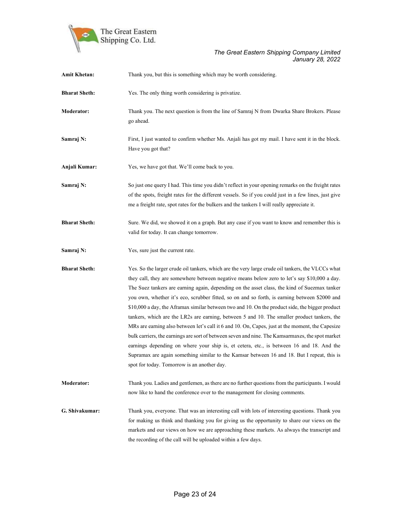

| <b>Amit Khetan:</b>  | Thank you, but this is something which may be worth considering.                                                                                                                                                                                                                                                                                                                                                                                                                                                                                                                                                                                                                                                                                                                                                                                                                                                                                                                                                                                      |
|----------------------|-------------------------------------------------------------------------------------------------------------------------------------------------------------------------------------------------------------------------------------------------------------------------------------------------------------------------------------------------------------------------------------------------------------------------------------------------------------------------------------------------------------------------------------------------------------------------------------------------------------------------------------------------------------------------------------------------------------------------------------------------------------------------------------------------------------------------------------------------------------------------------------------------------------------------------------------------------------------------------------------------------------------------------------------------------|
| <b>Bharat Sheth:</b> | Yes. The only thing worth considering is privatize.                                                                                                                                                                                                                                                                                                                                                                                                                                                                                                                                                                                                                                                                                                                                                                                                                                                                                                                                                                                                   |
| Moderator:           | Thank you. The next question is from the line of Samraj N from Dwarka Share Brokers. Please<br>go ahead.                                                                                                                                                                                                                                                                                                                                                                                                                                                                                                                                                                                                                                                                                                                                                                                                                                                                                                                                              |
| Samraj N:            | First, I just wanted to confirm whether Ms. Anjali has got my mail. I have sent it in the block.<br>Have you got that?                                                                                                                                                                                                                                                                                                                                                                                                                                                                                                                                                                                                                                                                                                                                                                                                                                                                                                                                |
| Anjali Kumar:        | Yes, we have got that. We'll come back to you.                                                                                                                                                                                                                                                                                                                                                                                                                                                                                                                                                                                                                                                                                                                                                                                                                                                                                                                                                                                                        |
| Samraj N:            | So just one query I had. This time you didn't reflect in your opening remarks on the freight rates<br>of the spots, freight rates for the different vessels. So if you could just in a few lines, just give<br>me a freight rate, spot rates for the bulkers and the tankers I will really appreciate it.                                                                                                                                                                                                                                                                                                                                                                                                                                                                                                                                                                                                                                                                                                                                             |
| <b>Bharat Sheth:</b> | Sure. We did, we showed it on a graph. But any case if you want to know and remember this is<br>valid for today. It can change tomorrow.                                                                                                                                                                                                                                                                                                                                                                                                                                                                                                                                                                                                                                                                                                                                                                                                                                                                                                              |
| Samraj N:            | Yes, sure just the current rate.                                                                                                                                                                                                                                                                                                                                                                                                                                                                                                                                                                                                                                                                                                                                                                                                                                                                                                                                                                                                                      |
| <b>Bharat Sheth:</b> | Yes. So the larger crude oil tankers, which are the very large crude oil tankers, the VLCCs what<br>they call, they are somewhere between negative means below zero to let's say \$10,000 a day.<br>The Suez tankers are earning again, depending on the asset class, the kind of Suezmax tanker<br>you own, whether it's eco, scrubber fitted, so on and so forth, is earning between \$2000 and<br>\$10,000 a day, the Aframax similar between two and 10. On the product side, the bigger product<br>tankers, which are the LR2s are earning, between 5 and 10. The smaller product tankers, the<br>MRs are earning also between let's call it 6 and 10. On, Capes, just at the moment, the Capesize<br>bulk carriers, the earnings are sort of between seven and nine. The Kamsarmaxes, the spot market<br>earnings depending on where your ship is, et cetera, etc., is between 16 and 18. And the<br>Supramax are again something similar to the Kamsar between 16 and 18. But I repeat, this is<br>spot for today. Tomorrow is an another day. |
| <b>Moderator:</b>    | Thank you. Ladies and gentlemen, as there are no further questions from the participants. I would<br>now like to hand the conference over to the management for closing comments.                                                                                                                                                                                                                                                                                                                                                                                                                                                                                                                                                                                                                                                                                                                                                                                                                                                                     |
| G. Shivakumar:       | Thank you, everyone. That was an interesting call with lots of interesting questions. Thank you<br>for making us think and thanking you for giving us the opportunity to share our views on the<br>markets and our views on how we are approaching these markets. As always the transcript and<br>the recording of the call will be uploaded within a few days.                                                                                                                                                                                                                                                                                                                                                                                                                                                                                                                                                                                                                                                                                       |